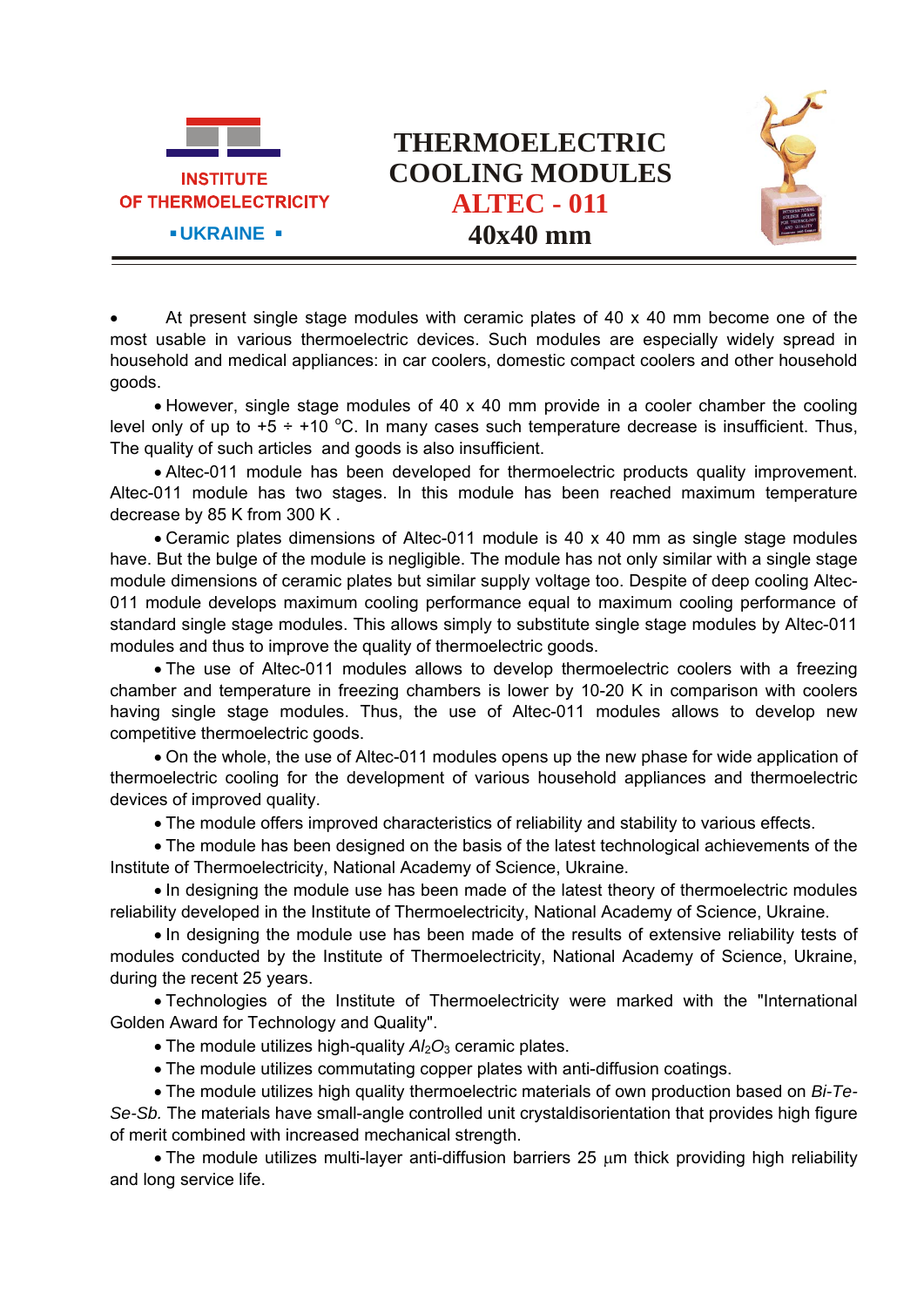



 At present single stage modules with ceramic plates of 40 x 40 mm become one of the most usable in various thermoelectric devices. Such modules are especially widely spread in household and medical appliances: in car coolers, domestic compact coolers and other household goods.

 However, single stage modules of 40 x 40 mm provide in a cooler chamber the cooling level only of up to  $+5 \div 10$  °C. In many cases such temperature decrease is insufficient. Thus, The quality of such articles and goods is also insufficient.

 Altec-011 module has been developed for thermoelectric products quality improvement. Altec-011 module has two stages. In this module has been reached maximum temperature decrease by 85 K from 300 K .

 Ceramic plates dimensions of Altec-011 module is 40 x 40 mm as single stage modules have. But the bulge of the module is negligible. The module has not only similar with a single stage module dimensions of ceramic plates but similar supply voltage too. Despite of deep cooling Altec-011 module develops maximum cooling performance equal to maximum cooling performance of standard single stage modules. This allows simply to substitute single stage modules by Altec-011 modules and thus to improve the quality of thermoelectric goods.

• The use of Altec-011 modules allows to develop thermoelectric coolers with a freezing chamber and temperature in freezing chambers is lower by 10-20 K in comparison with coolers having single stage modules. Thus, the use of Altec-011 modules allows to develop new competitive thermoelectric goods.

 On the whole, the use of Altec-011 modules opens up the new phase for wide application of thermoelectric cooling for the development of various household appliances and thermoelectric devices of improved quality.

The module offers improved characteristics of reliability and stability to various effects.

 The module has been designed on the basis of the latest technological achievements of the Institute of Thermoelectricity, National Academy of Science, Ukraine.

• In designing the module use has been made of the latest theory of thermoelectric modules reliability developed in the Institute of Thermoelectricity, National Academy of Science, Ukraine.

 In designing the module use has been made of the results of extensive reliability tests of modules conducted by the Institute of Thermoelectricity, National Academy of Science, Ukraine, during the recent 25 years.

 Technologies of the Institute of Thermoelectricity were marked with the "International Golden Award for Technology and Quality".

- The module utilizes high-quality  $A/2O_3$  ceramic plates.
- The module utilizes commutating copper plates with anti-diffusion coatings.

 The module utilizes high quality thermoelectric materials of own production based on *Bi-Te-Se-Sb.* The materials have small-angle controlled unit crystaldisorientation that provides high figure of merit combined with increased mechanical strength.

• The module utilizes multi-layer anti-diffusion barriers 25  $\mu$ m thick providing high reliability and long service life.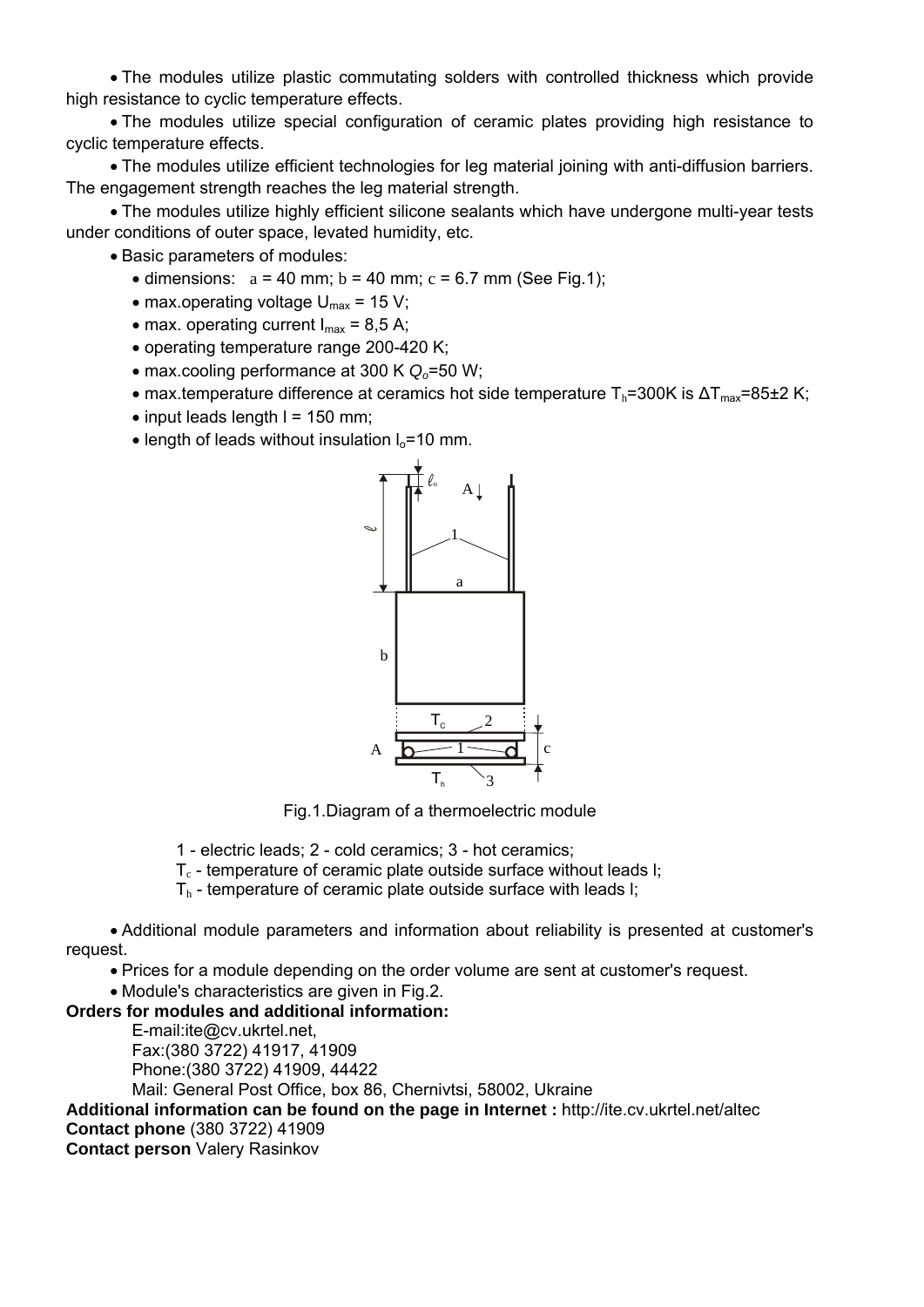The modules utilize plastic commutating solders with controlled thickness which provide high resistance to cyclic temperature effects.

 The modules utilize special configuration of ceramic plates providing high resistance to cyclic temperature effects.

 The modules utilize efficient technologies for leg material joining with anti-diffusion barriers. The engagement strength reaches the leg material strength.

 The modules utilize highly efficient silicone sealants which have undergone multi-year tests under conditions of outer space, levated humidity, etc.

• Basic parameters of modules:

- $\bullet$  dimensions:  $a = 40$  mm;  $b = 40$  mm;  $c = 6.7$  mm (See Fig.1);
- max.operating voltage  $U_{\text{max}}$  = 15 V;
- max. operating current  $I_{max} = 8.5$  A;
- operating temperature range 200-420 K;
- max.cooling performance at 300 K  $Q_0$ =50 W;
- max.temperature difference at ceramics hot side temperature  $T_h$ =300K is  $\Delta T_{max}$ =85±2 K;
- $\bullet$  input leads length I = 150 mm;
- $\bullet$  length of leads without insulation  $I_0$ =10 mm.



Fig.1.Diagram of a thermoelectric module

1 - electric leads; 2 - cold ceramics; 3 - hot ceramics;

- $T_c$  temperature of ceramic plate outside surface without leads I;
- $T<sub>h</sub>$  temperature of ceramic plate outside surface with leads I;

 Additional module parameters and information about reliability is presented at customer's request.

Prices for a module depending on the order volume are sent at customer's request.

Module's characteristics are given in Fig.2.

## **Orders for modules and additional information:**

E-mail:ite@cv.ukrtel.net, Fax:(380 3722) 41917, 41909 Phone:(380 3722) 41909, 44422

Mail: General Post Office, box 86, Chernivtsi, 58002, Ukraine

**Additional information can be found on the page in Internet :** http://ite.cv.ukrtel.net/altec

## **Contact phone** (380 3722) 41909

**Contact person** Valery Rasinkov